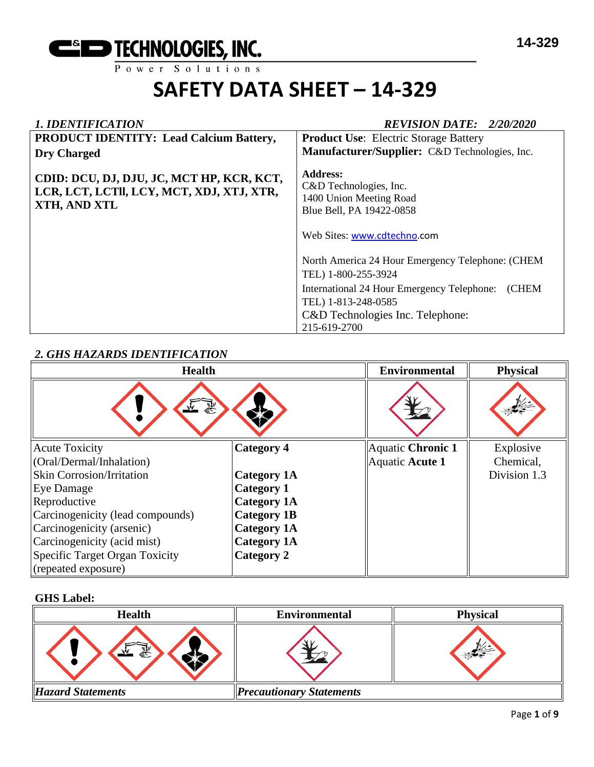

| 1. IDENTIFICATION                                                                                      | <b>REVISION DATE: 2/20/2020</b>                                                                                                                                                                           |  |  |
|--------------------------------------------------------------------------------------------------------|-----------------------------------------------------------------------------------------------------------------------------------------------------------------------------------------------------------|--|--|
| <b>PRODUCT IDENTITY: Lead Calcium Battery,</b>                                                         | <b>Product Use:</b> Electric Storage Battery                                                                                                                                                              |  |  |
| <b>Dry Charged</b>                                                                                     | Manufacturer/Supplier: C&D Technologies, Inc.                                                                                                                                                             |  |  |
| CDID: DCU, DJ, DJU, JC, MCT HP, KCR, KCT,<br>LCR, LCT, LCTII, LCY, MCT, XDJ, XTJ, XTR,<br>XTH, AND XTL | <b>Address:</b><br>C&D Technologies, Inc.<br>1400 Union Meeting Road<br>Blue Bell, PA 19422-0858<br>Web Sites: www.cdtechno.com                                                                           |  |  |
|                                                                                                        | North America 24 Hour Emergency Telephone: (CHEM<br>TEL) 1-800-255-3924<br>(CHEM<br>International 24 Hour Emergency Telephone:<br>TEL) 1-813-248-0585<br>C&D Technologies Inc. Telephone:<br>215-619-2700 |  |  |

## *2. GHS HAZARDS IDENTIFICATION*

| <b>Health</b>                    |                    | <b>Environmental</b> | <b>Physical</b> |
|----------------------------------|--------------------|----------------------|-----------------|
| 家<br>ستفيز                       |                    |                      |                 |
| <b>Acute Toxicity</b>            | <b>Category 4</b>  | Aquatic Chronic 1    | Explosive       |
| (Oral/Dermal/Inhalation)         |                    | Aquatic Acute 1      | Chemical,       |
| <b>Skin Corrosion/Irritation</b> | <b>Category 1A</b> |                      | Division 1.3    |
| <b>Eye Damage</b>                | <b>Category 1</b>  |                      |                 |
| Reproductive                     | <b>Category 1A</b> |                      |                 |
| Carcinogenicity (lead compounds) | <b>Category 1B</b> |                      |                 |
| Carcinogenicity (arsenic)        | <b>Category 1A</b> |                      |                 |
| Carcinogenicity (acid mist)      | <b>Category 1A</b> |                      |                 |
| Specific Target Organ Toxicity   | Category 2         |                      |                 |
| (repeated exposure)              |                    |                      |                 |

## **GHS Label:**

| <b>Health</b>            | <b>Environmental</b>            | <b>Physical</b> |
|--------------------------|---------------------------------|-----------------|
| $\bar{\phantom{a}}$<br>氦 |                                 |                 |
| <b>Hazard Statements</b> | <b>Precautionary Statements</b> |                 |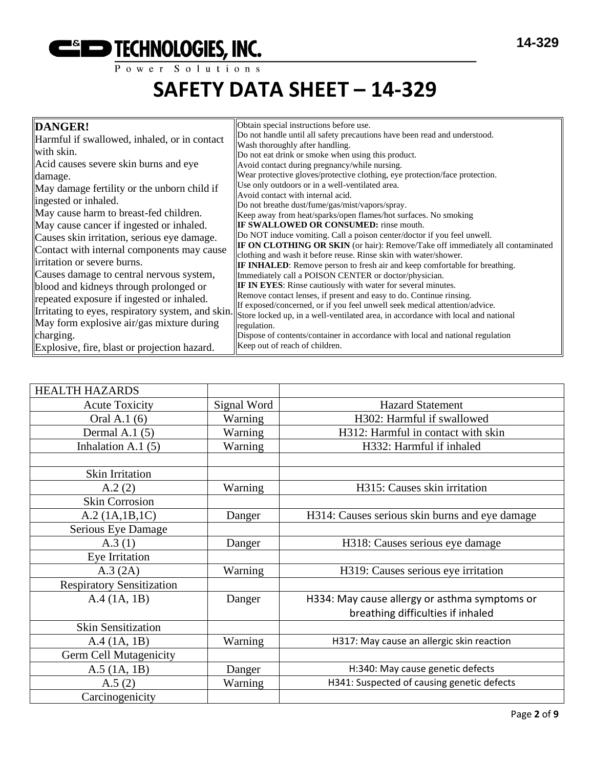

| DANGER!                                           | Obtain special instructions before use.                                                                                                    |
|---------------------------------------------------|--------------------------------------------------------------------------------------------------------------------------------------------|
| Harmful if swallowed, inhaled, or in contact      | Do not handle until all safety precautions have been read and understood.<br>Wash thoroughly after handling.                               |
| with skin.                                        | Do not eat drink or smoke when using this product.                                                                                         |
| Acid causes severe skin burns and eye             | Avoid contact during pregnancy/while nursing.                                                                                              |
| damage.                                           | Wear protective gloves/protective clothing, eye protection/face protection.                                                                |
| May damage fertility or the unborn child if       | Use only outdoors or in a well-ventilated area.                                                                                            |
| ingested or inhaled.                              | Avoid contact with internal acid.                                                                                                          |
| May cause harm to breast-fed children.            | Do not breathe dust/fume/gas/mist/vapors/spray.                                                                                            |
|                                                   | Keep away from heat/sparks/open flames/hot surfaces. No smoking                                                                            |
| May cause cancer if ingested or inhaled.          | <b>IF SWALLOWED OR CONSUMED:</b> rinse mouth.                                                                                              |
| Causes skin irritation, serious eye damage.       | Do NOT induce vomiting. Call a poison center/doctor if you feel unwell.                                                                    |
| Contact with internal components may cause        | IF ON CLOTHING OR SKIN (or hair): Remove/Take off immediately all contaminated                                                             |
| irritation or severe burns.                       | clothing and wash it before reuse. Rinse skin with water/shower.                                                                           |
| Causes damage to central nervous system,          | <b>IF INHALED:</b> Remove person to fresh air and keep comfortable for breathing.<br>Immediately call a POISON CENTER or doctor/physician. |
|                                                   | <b>IF IN EYES:</b> Rinse cautiously with water for several minutes.                                                                        |
| blood and kidneys through prolonged or            | Remove contact lenses, if present and easy to do. Continue rinsing.                                                                        |
| repeated exposure if ingested or inhaled.         | If exposed/concerned, or if you feel unwell seek medical attention/advice.                                                                 |
| Irritating to eyes, respiratory system, and skin. | Store locked up, in a well-ventilated area, in accordance with local and national                                                          |
| May form explosive air/gas mixture during         | regulation.                                                                                                                                |
| charging.                                         | Dispose of contents/container in accordance with local and national regulation                                                             |
| Explosive, fire, blast or projection hazard.      | Keep out of reach of children.                                                                                                             |

| <b>HEALTH HAZARDS</b>            |             |                                                |
|----------------------------------|-------------|------------------------------------------------|
| <b>Acute Toxicity</b>            | Signal Word | <b>Hazard Statement</b>                        |
| Oral A.1 (6)                     | Warning     | H302: Harmful if swallowed                     |
| Dermal A.1 $(5)$                 | Warning     | H312: Harmful in contact with skin             |
| Inhalation A.1 $(5)$             | Warning     | H332: Harmful if inhaled                       |
|                                  |             |                                                |
| <b>Skin Irritation</b>           |             |                                                |
| A.2(2)                           | Warning     | H315: Causes skin irritation                   |
| <b>Skin Corrosion</b>            |             |                                                |
| A.2 (1A.1B.1C)                   | Danger      | H314: Causes serious skin burns and eye damage |
| Serious Eye Damage               |             |                                                |
| A.3(1)                           | Danger      | H318: Causes serious eye damage                |
| Eye Irritation                   |             |                                                |
| A.3 (2A)                         | Warning     | H319: Causes serious eye irritation            |
| <b>Respiratory Sensitization</b> |             |                                                |
| A.4 (1A, 1B)                     | Danger      | H334: May cause allergy or asthma symptoms or  |
|                                  |             | breathing difficulties if inhaled              |
| <b>Skin Sensitization</b>        |             |                                                |
| A.4 (1A, 1B)                     | Warning     | H317: May cause an allergic skin reaction      |
| <b>Germ Cell Mutagenicity</b>    |             |                                                |
| $A.5$ (1A, 1B)                   | Danger      | H:340: May cause genetic defects               |
| A.5(2)                           | Warning     | H341: Suspected of causing genetic defects     |
| Carcinogenicity                  |             |                                                |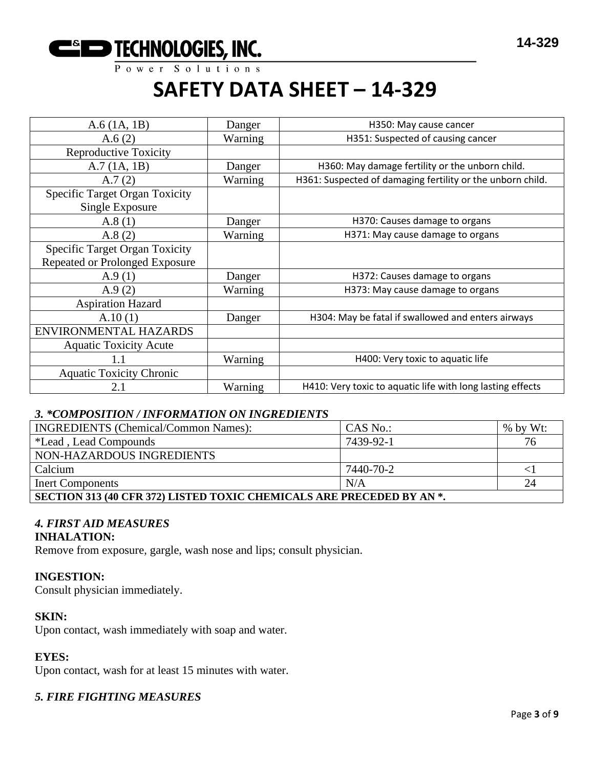

| Danger  | H350: May cause cancer                                     |
|---------|------------------------------------------------------------|
| Warning | H351: Suspected of causing cancer                          |
|         |                                                            |
| Danger  | H360: May damage fertility or the unborn child.            |
| Warning | H361: Suspected of damaging fertility or the unborn child. |
|         |                                                            |
| Danger  | H370: Causes damage to organs                              |
| Warning | H371: May cause damage to organs                           |
|         |                                                            |
|         |                                                            |
| Danger  | H372: Causes damage to organs                              |
| Warning | H373: May cause damage to organs                           |
|         |                                                            |
| Danger  | H304: May be fatal if swallowed and enters airways         |
|         |                                                            |
|         |                                                            |
| Warning | H400: Very toxic to aquatic life                           |
|         |                                                            |
| Warning | H410: Very toxic to aquatic life with long lasting effects |
|         |                                                            |

## *3. \*COMPOSITION / INFORMATION ON INGREDIENTS*

| <b>INGREDIENTS</b> (Chemical/Common Names):                           | CAS No.:  | $%$ by Wt: |  |  |  |
|-----------------------------------------------------------------------|-----------|------------|--|--|--|
| *Lead, Lead Compounds                                                 | 7439-92-1 | 76         |  |  |  |
| NON-HAZARDOUS INGREDIENTS                                             |           |            |  |  |  |
| Calcium                                                               | 7440-70-2 |            |  |  |  |
| 24<br>N/A<br><b>Inert Components</b>                                  |           |            |  |  |  |
| SECTION 313 (40 CFR 372) LISTED TOXIC CHEMICALS ARE PRECEDED BY AN *. |           |            |  |  |  |

#### *4. FIRST AID MEASURES* **INHALATION:**

Remove from exposure, gargle, wash nose and lips; consult physician.

#### **INGESTION:**

Consult physician immediately.

### **SKIN:**

Upon contact, wash immediately with soap and water.

#### **EYES:**

Upon contact, wash for at least 15 minutes with water.

#### *5. FIRE FIGHTING MEASURES*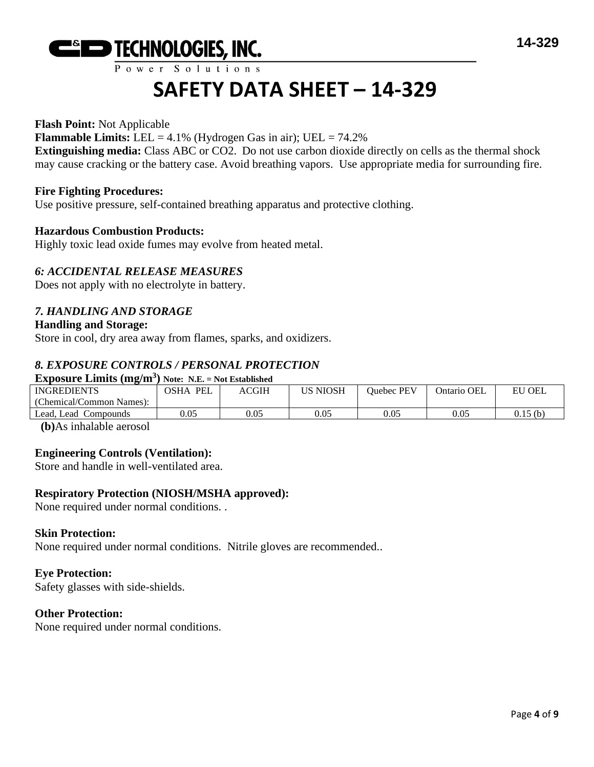

## Power Solutions

## **SAFETY DATA SHEET – 14-329**

#### **Flash Point:** Not Applicable

**Flammable Limits:** LEL = 4.1% (Hydrogen Gas in air); UEL = 74.2%

**Extinguishing media:** Class ABC or CO2. Do not use carbon dioxide directly on cells as the thermal shock may cause cracking or the battery case. Avoid breathing vapors. Use appropriate media for surrounding fire.

#### **Fire Fighting Procedures:**

Use positive pressure, self-contained breathing apparatus and protective clothing.

#### **Hazardous Combustion Products:**

Highly toxic lead oxide fumes may evolve from heated metal.

## *6: ACCIDENTAL RELEASE MEASURES*

Does not apply with no electrolyte in battery.

## *7. HANDLING AND STORAGE*

#### **Handling and Storage:**

Store in cool, dry area away from flames, sparks, and oxidizers.

## *8. EXPOSURE CONTROLS / PERSONAL PROTECTION*

#### **Exposure Limits (mg/m<sup>3</sup> ) Note: N.E. = Not Established**

| <b>INGREDIENTS</b>         | <b>PEI</b><br>OSHA | ACGIH | US NIOSH | Ouebec PEV | Ontario OEL | EU<br><b>OEL</b> |
|----------------------------|--------------------|-------|----------|------------|-------------|------------------|
| (Chemical/Common Names):   |                    |       |          |            |             |                  |
| Lead.<br>Lead<br>Compounds | 0.05               | 0.05  | 0.05     | 0.05       | 0.05        | 0.15 (b)         |
|                            |                    |       |          |            |             |                  |

**(b)**As inhalable aerosol

## **Engineering Controls (Ventilation):**

Store and handle in well-ventilated area.

#### **Respiratory Protection (NIOSH/MSHA approved):**

None required under normal conditions. .

#### **Skin Protection:**

None required under normal conditions. Nitrile gloves are recommended..

#### **Eye Protection:**

Safety glasses with side-shields.

#### **Other Protection:**

None required under normal conditions.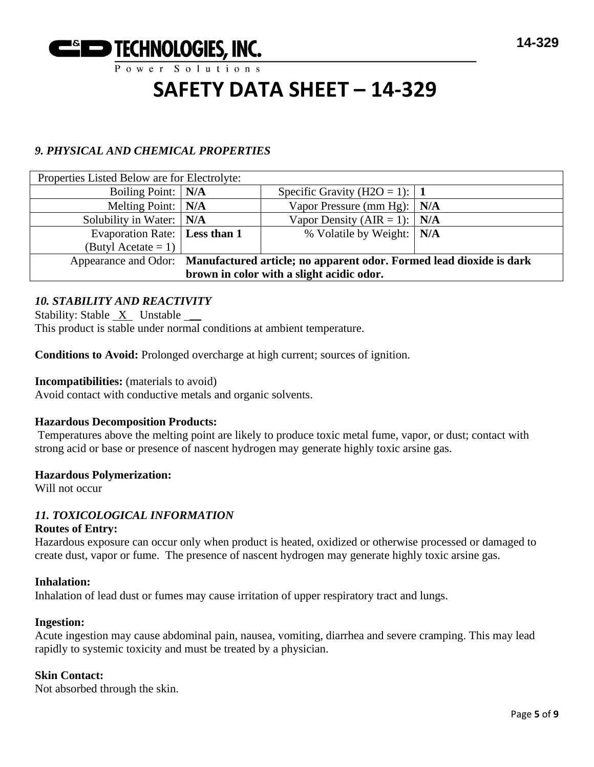

## *9. PHYSICAL AND CHEMICAL PROPERTIES*

| Properties Listed Below are for Electrolyte:                                             |  |                                      |  |  |
|------------------------------------------------------------------------------------------|--|--------------------------------------|--|--|
| Boiling Point:   N/A                                                                     |  | Specific Gravity (H2O = 1): $\mid$ 1 |  |  |
| Melting Point: $\vert$ N/A                                                               |  | Vapor Pressure (mm Hg): $\vert$ N/A  |  |  |
| Solubility in Water: $\vert$ N/A                                                         |  | Vapor Density (AIR = 1): $N/A$       |  |  |
| Evaporation Rate:   Less than 1                                                          |  | % Volatile by Weight:   N/A          |  |  |
| (Butyl Acetate = 1) $\vert$                                                              |  |                                      |  |  |
| Appearance and Odor: Manufactured article; no apparent odor. Formed lead dioxide is dark |  |                                      |  |  |
| brown in color with a slight acidic odor.                                                |  |                                      |  |  |

## *10. STABILITY AND REACTIVITY*

Stability: Stable X Unstable \_\_ This product is stable under normal conditions at ambient temperature.

**Conditions to Avoid:** Prolonged overcharge at high current; sources of ignition.

#### **Incompatibilities:** (materials to avoid)

Avoid contact with conductive metals and organic solvents.

#### **Hazardous Decomposition Products:**

Temperatures above the melting point are likely to produce toxic metal fume, vapor, or dust; contact with strong acid or base or presence of nascent hydrogen may generate highly toxic arsine gas.

#### **Hazardous Polymerization:**

Will not occur

## *11. TOXICOLOGICAL INFORMATION*

#### **Routes of Entry:**

Hazardous exposure can occur only when product is heated, oxidized or otherwise processed or damaged to create dust, vapor or fume. The presence of nascent hydrogen may generate highly toxic arsine gas.

#### **Inhalation:**

Inhalation of lead dust or fumes may cause irritation of upper respiratory tract and lungs.

#### **Ingestion:**

Acute ingestion may cause abdominal pain, nausea, vomiting, diarrhea and severe cramping. This may lead rapidly to systemic toxicity and must be treated by a physician.

#### **Skin Contact:**

Not absorbed through the skin.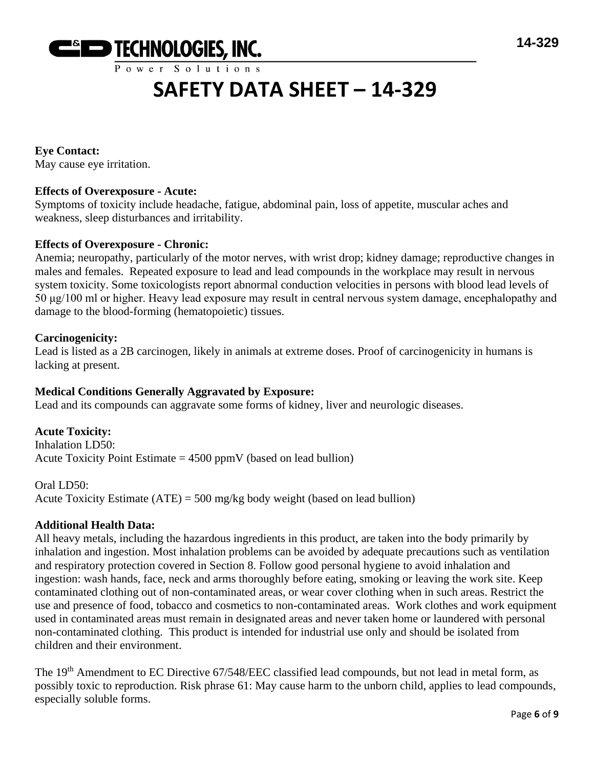

**Eye Contact:** May cause eye irritation.

## **Effects of Overexposure - Acute:**

Symptoms of toxicity include headache, fatigue, abdominal pain, loss of appetite, muscular aches and weakness, sleep disturbances and irritability.

## **Effects of Overexposure - Chronic:**

Anemia; neuropathy, particularly of the motor nerves, with wrist drop; kidney damage; reproductive changes in males and females. Repeated exposure to lead and lead compounds in the workplace may result in nervous system toxicity. Some toxicologists report abnormal conduction velocities in persons with blood lead levels of 50 μg/100 ml or higher. Heavy lead exposure may result in central nervous system damage, encephalopathy and damage to the blood-forming (hematopoietic) tissues.

#### **Carcinogenicity:**

Lead is listed as a 2B carcinogen, likely in animals at extreme doses. Proof of carcinogenicity in humans is lacking at present.

## **Medical Conditions Generally Aggravated by Exposure:**

Lead and its compounds can aggravate some forms of kidney, liver and neurologic diseases.

**Acute Toxicity:** Inhalation LD50: Acute Toxicity Point Estimate  $= 4500$  ppmV (based on lead bullion)

Oral LD50:

Acute Toxicity Estimate (ATE) = 500 mg/kg body weight (based on lead bullion)

## **Additional Health Data:**

All heavy metals, including the hazardous ingredients in this product, are taken into the body primarily by inhalation and ingestion. Most inhalation problems can be avoided by adequate precautions such as ventilation and respiratory protection covered in Section 8. Follow good personal hygiene to avoid inhalation and ingestion: wash hands, face, neck and arms thoroughly before eating, smoking or leaving the work site. Keep contaminated clothing out of non-contaminated areas, or wear cover clothing when in such areas. Restrict the use and presence of food, tobacco and cosmetics to non-contaminated areas. Work clothes and work equipment used in contaminated areas must remain in designated areas and never taken home or laundered with personal non-contaminated clothing. This product is intended for industrial use only and should be isolated from children and their environment.

The 19<sup>th</sup> Amendment to EC Directive 67/548/EEC classified lead compounds, but not lead in metal form, as possibly toxic to reproduction. Risk phrase 61: May cause harm to the unborn child, applies to lead compounds, especially soluble forms.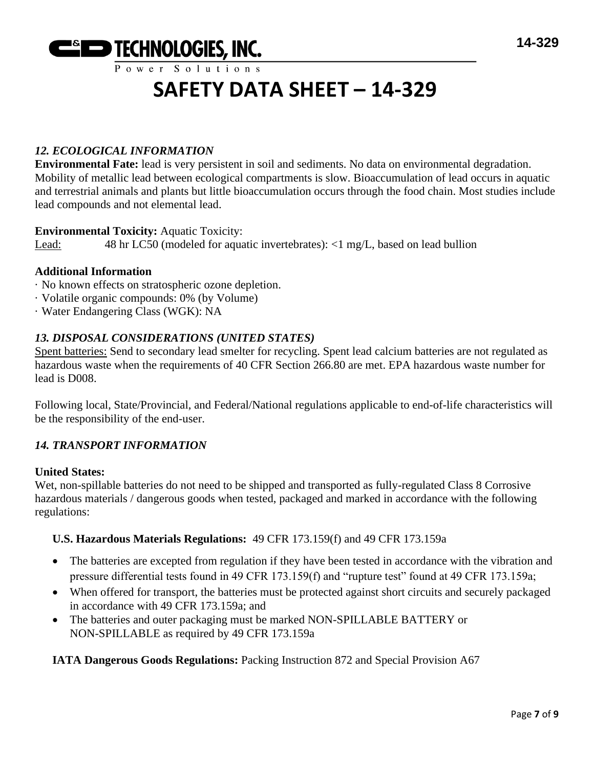

## *12. ECOLOGICAL INFORMATION*

**Environmental Fate:** lead is very persistent in soil and sediments. No data on environmental degradation. Mobility of metallic lead between ecological compartments is slow. Bioaccumulation of lead occurs in aquatic and terrestrial animals and plants but little bioaccumulation occurs through the food chain. Most studies include lead compounds and not elemental lead.

#### **Environmental Toxicity:** Aquatic Toxicity:

Lead: 48 hr LC50 (modeled for aquatic invertebrates): <1 mg/L, based on lead bullion

## **Additional Information**

- · No known effects on stratospheric ozone depletion.
- · Volatile organic compounds: 0% (by Volume)
- · Water Endangering Class (WGK): NA

## *13. DISPOSAL CONSIDERATIONS (UNITED STATES)*

Spent batteries: Send to secondary lead smelter for recycling. Spent lead calcium batteries are not regulated as hazardous waste when the requirements of 40 CFR Section 266.80 are met. EPA hazardous waste number for lead is D008.

Following local, State/Provincial, and Federal/National regulations applicable to end-of-life characteristics will be the responsibility of the end-user.

## *14. TRANSPORT INFORMATION*

#### **United States:**

Wet, non-spillable batteries do not need to be shipped and transported as fully-regulated Class 8 Corrosive hazardous materials / dangerous goods when tested, packaged and marked in accordance with the following regulations:

#### **U.S. Hazardous Materials Regulations:** 49 CFR 173.159(f) and 49 CFR 173.159a

- The batteries are excepted from regulation if they have been tested in accordance with the vibration and pressure differential tests found in 49 CFR 173.159(f) and "rupture test" found at 49 CFR 173.159a;
- When offered for transport, the batteries must be protected against short circuits and securely packaged in accordance with 49 CFR 173.159a; and
- The batteries and outer packaging must be marked NON-SPILLABLE BATTERY or NON-SPILLABLE as required by 49 CFR 173.159a

#### **IATA Dangerous Goods Regulations:** Packing Instruction 872 and Special Provision A67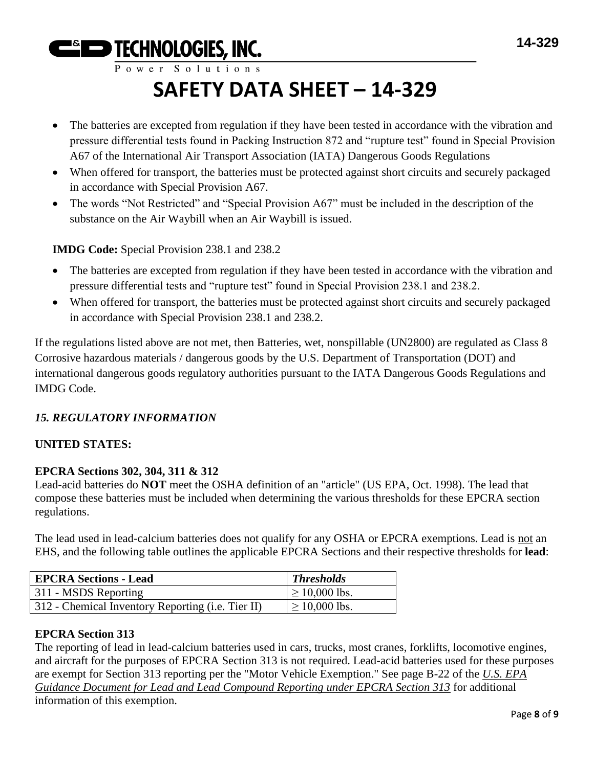Power Solutions

**ESED TECHNOLOGIES, INC.** 

## **SAFETY DATA SHEET – 14-329**

- The batteries are excepted from regulation if they have been tested in accordance with the vibration and pressure differential tests found in Packing Instruction 872 and "rupture test" found in Special Provision A67 of the International Air Transport Association (IATA) Dangerous Goods Regulations
- When offered for transport, the batteries must be protected against short circuits and securely packaged in accordance with Special Provision A67.
- The words "Not Restricted" and "Special Provision A67" must be included in the description of the substance on the Air Waybill when an Air Waybill is issued.

**IMDG Code:** Special Provision 238.1 and 238.2

- The batteries are excepted from regulation if they have been tested in accordance with the vibration and pressure differential tests and "rupture test" found in Special Provision 238.1 and 238.2.
- When offered for transport, the batteries must be protected against short circuits and securely packaged in accordance with Special Provision 238.1 and 238.2.

If the regulations listed above are not met, then Batteries, wet, nonspillable (UN2800) are regulated as Class 8 Corrosive hazardous materials / dangerous goods by the U.S. Department of Transportation (DOT) and international dangerous goods regulatory authorities pursuant to the IATA Dangerous Goods Regulations and IMDG Code.

## *15. REGULATORY INFORMATION*

## **UNITED STATES:**

## **EPCRA Sections 302, 304, 311 & 312**

Lead-acid batteries do **NOT** meet the OSHA definition of an "article" (US EPA, Oct. 1998). The lead that compose these batteries must be included when determining the various thresholds for these EPCRA section regulations.

The lead used in lead-calcium batteries does not qualify for any OSHA or EPCRA exemptions. Lead is not an EHS, and the following table outlines the applicable EPCRA Sections and their respective thresholds for **lead**:

| <b>EPCRA Sections - Lead</b>                      | <b>Thresholds</b>  |
|---------------------------------------------------|--------------------|
| 311 - MSDS Reporting                              | $\geq 10,000$ lbs. |
| 312 - Chemical Inventory Reporting (i.e. Tier II) | $\geq 10,000$ lbs. |

## **EPCRA Section 313**

The reporting of lead in lead-calcium batteries used in cars, trucks, most cranes, forklifts, locomotive engines, and aircraft for the purposes of EPCRA Section 313 is not required. Lead-acid batteries used for these purposes are exempt for Section 313 reporting per the "Motor Vehicle Exemption." See page B-22 of the *U.S. EPA Guidance Document for Lead and Lead Compound Reporting under EPCRA Section 313* for additional information of this exemption.